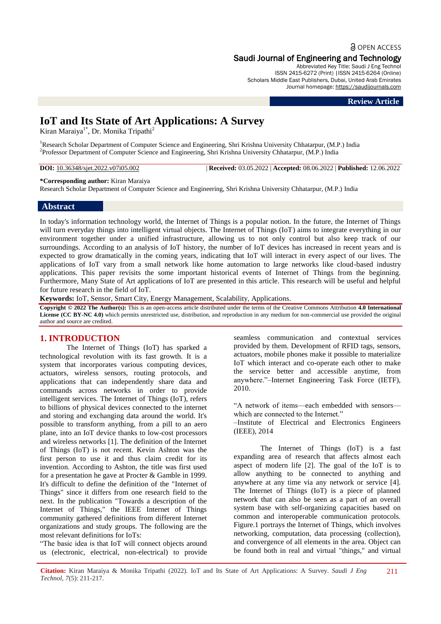# **a** OPEN ACCESS Saudi Journal of Engineering and Technology

Abbreviated Key Title: Saudi J Eng Technol ISSN 2415-6272 (Print) |ISSN 2415-6264 (Online) Scholars Middle East Publishers, Dubai, United Arab Emirates Journal homepage: [https://saudijournals.com](https://saudijournals.com/sjeat)

#### **Review Article**

# **IoT and Its State of Art Applications: A Survey**

Kiran Maraiya<sup>1\*</sup>, Dr. Monika Tripathi<sup>2</sup>

<sup>1</sup>Research Scholar Department of Computer Science and Engineering, Shri Krishna University Chhatarpur, (M.P.) India 2 Professor Department of Computer Science and Engineering, Shri Krishna University Chhatarpur, (M.P.) India

**DOI:** 10.36348/sjet.2022.v07i05.002 | **Received:** 03.05.2022 | **Accepted:** 08.06.2022 | **Published:** 12.06.2022

**\*Corresponding author:** Kiran Maraiya

Research Scholar Department of Computer Science and Engineering, Shri Krishna University Chhatarpur, (M.P.) India

### **Abstract**

In today's information technology world, the Internet of Things is a popular notion. In the future, the Internet of Things will turn everyday things into intelligent virtual objects. The Internet of Things (IoT) aims to integrate everything in our environment together under a unified infrastructure, allowing us to not only control but also keep track of our surroundings. According to an analysis of IoT history, the number of IoT devices has increased in recent years and is expected to grow dramatically in the coming years, indicating that IoT will interact in every aspect of our lives. The applications of IoT vary from a small network like home automation to large networks like cloud-based industry applications. This paper revisits the some important historical events of Internet of Things from the beginning. Furthermore, Many State of Art applications of IoT are presented in this article. This research will be useful and helpful for future research in the field of IoT.

**Keywords:** IoT, Sensor, Smart City, Energy Management, Scalability, Applications.

**Copyright © 2022 The Author(s):** This is an open-access article distributed under the terms of the Creative Commons Attribution **4.0 International License (CC BY-NC 4.0)** which permits unrestricted use, distribution, and reproduction in any medium for non-commercial use provided the original author and source are credited.

# **1. INTRODUCTION**

The Internet of Things (IoT) has sparked a technological revolution with its fast growth. It is a system that incorporates various computing devices, actuators, wireless sensors, routing protocols, and applications that can independently share data and commands across networks in order to provide intelligent services. The Internet of Things (IoT), refers to billions of physical devices connected to the internet and storing and exchanging data around the world. It's possible to transform anything, from a pill to an aero plane, into an IoT device thanks to low-cost processors and wireless networks [1]. The definition of the Internet of Things (IoT) is not recent. Kevin Ashton was the first person to use it and thus claim credit for its invention. According to Ashton, the title was first used for a presentation he gave at Procter & Gamble in 1999. It's difficult to define the definition of the "Internet of Things" since it differs from one research field to the next. In the publication "Towards a description of the Internet of Things," the IEEE Internet of Things community gathered definitions from different Internet organizations and study groups. The following are the most relevant definitions for IoTs:

"The basic idea is that IoT will connect objects around us (electronic, electrical, non-electrical) to provide seamless communication and contextual services provided by them. Development of RFID tags, sensors, actuators, mobile phones make it possible to materialize IoT which interact and co-operate each other to make the service better and accessible anytime, from anywhere."-Internet Engineering Task Force (IETF), 2010.

―A network of items—each embedded with sensors which are connected to the Internet."

–Institute of Electrical and Electronics Engineers (IEEE), 2014

The Internet of Things (IoT) is a fast expanding area of research that affects almost each aspect of modern life [2]. The goal of the IoT is to allow anything to be connected to anything and anywhere at any time via any network or service [4]. The Internet of Things (IoT) is a piece of planned network that can also be seen as a part of an overall system base with self-organizing capacities based on common and interoperable communication protocols. Figure.1 portrays the Internet of Things, which involves networking, computation, data processing (collection), and convergence of all elements in the area. Object can be found both in real and virtual "things," and virtual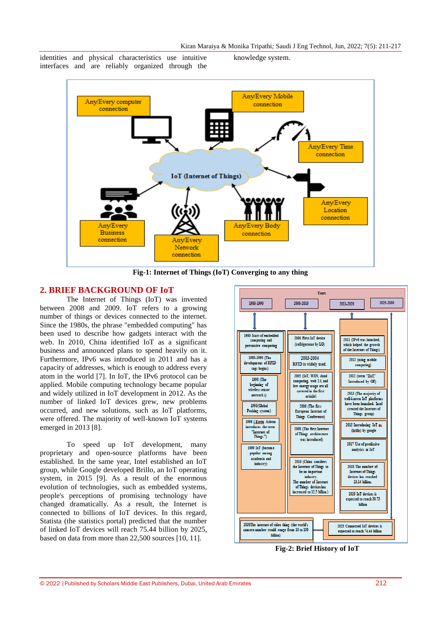identities and physical characteristics use intuitive interfaces and are reliably organized through the knowledge system.



**Fig-1: Internet of Things (IoT) Converging to any thing**

## **2. BRIEF BACKGROUND OF IoT**

The Internet of Things (IoT) was invented between 2008 and 2009. IoT refers to a growing number of things or devices connected to the internet. Since the 1980s, the phrase "embedded computing" has been used to describe how gadgets interact with the web. In 2010, China identified IoT as a significant business and announced plans to spend heavily on it. Furthermore, IPv6 was introduced in 2011 and has a capacity of addresses, which is enough to address every atom in the world [7]. In IoT, the IPv6 protocol can be applied. Mobile computing technology became popular and widely utilized in IoT development in 2012. As the number of linked IoT devices grew, new problems occurred, and new solutions, such as IoT platforms, were offered. The majority of well-known IoT systems emerged in 2013 [8].

To speed up IoT development, many proprietary and open-source platforms have been established. In the same year, Intel established an IoT group, while Google developed Brillo, an IoT operating system, in 2015 [9]. As a result of the enormous evolution of technologies, such as embedded systems, people's perceptions of promising technology have changed dramatically. As a result, the Internet is connected to billions of IoT devices. In this regard, Statista (the statistics portal) predicted that the number of linked IoT devices will reach 75.44 billion by 2025, based on data from more than 22,500 sources [10, 11].



**Fig-2: Brief History of IoT**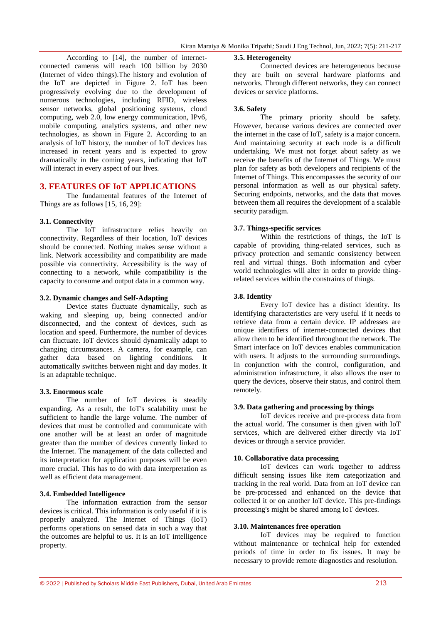According to [14], the number of internetconnected cameras will reach 100 billion by 2030 (Internet of video things).The history and evolution of the IoT are depicted in Figure 2. IoT has been progressively evolving due to the development of numerous technologies, including RFID, wireless sensor networks, global positioning systems, cloud computing, web 2.0, low energy communication, IPv6, mobile computing, analytics systems, and other new technologies, as shown in Figure 2. According to an analysis of IoT history, the number of IoT devices has increased in recent years and is expected to grow dramatically in the coming years, indicating that IoT will interact in every aspect of our lives.

# **3. FEATURES OF IoT APPLICATIONS**

The fundamental features of the Internet of Things are as follows [15, 16, 29]:

### **3.1. Connectivity**

The IoT infrastructure relies heavily on connectivity. Regardless of their location, IoT devices should be connected. Nothing makes sense without a link. Network accessibility and compatibility are made possible via connectivity. Accessibility is the way of connecting to a network, while compatibility is the capacity to consume and output data in a common way.

### **3.2. Dynamic changes and Self-Adapting**

Device states fluctuate dynamically, such as waking and sleeping up, being connected and/or disconnected, and the context of devices, such as location and speed. Furthermore, the number of devices can fluctuate. IoT devices should dynamically adapt to changing circumstances. A camera, for example, can gather data based on lighting conditions. It automatically switches between night and day modes. It is an adaptable technique.

### **3.3. Enormous scale**

The number of IoT devices is steadily expanding. As a result, the IoT's scalability must be sufficient to handle the large volume. The number of devices that must be controlled and communicate with one another will be at least an order of magnitude greater than the number of devices currently linked to the Internet. The management of the data collected and its interpretation for application purposes will be even more crucial. This has to do with data interpretation as well as efficient data management.

### **3.4. Embedded Intelligence**

The information extraction from the sensor devices is critical. This information is only useful if it is properly analyzed. The Internet of Things (IoT) performs operations on sensed data in such a way that the outcomes are helpful to us. It is an IoT intelligence property.

#### **3.5. Heterogeneity**

Connected devices are heterogeneous because they are built on several hardware platforms and networks. Through different networks, they can connect devices or service platforms.

### **3.6. Safety**

The primary priority should be safety. However, because various devices are connected over the internet in the case of IoT, safety is a major concern. And maintaining security at each node is a difficult undertaking. We must not forget about safety as we receive the benefits of the Internet of Things. We must plan for safety as both developers and recipients of the Internet of Things. This encompasses the security of our personal information as well as our physical safety. Securing endpoints, networks, and the data that moves between them all requires the development of a scalable security paradigm.

### **3.7. Things-specific services**

Within the restrictions of things, the IoT is capable of providing thing-related services, such as privacy protection and semantic consistency between real and virtual things. Both information and cyber world technologies will alter in order to provide thingrelated services within the constraints of things.

### **3.8. Identity**

Every IoT device has a distinct identity. Its identifying characteristics are very useful if it needs to retrieve data from a certain device. IP addresses are unique identifiers of internet-connected devices that allow them to be identified throughout the network. The Smart interface on IoT devices enables communication with users. It adjusts to the surrounding surroundings. In conjunction with the control, configuration, and administration infrastructure, it also allows the user to query the devices, observe their status, and control them remotely.

#### **3.9. Data gathering and processing by things**

IoT devices receive and pre-process data from the actual world. The consumer is then given with IoT services, which are delivered either directly via IoT devices or through a service provider.

#### **10. Collaborative data processing**

IoT devices can work together to address difficult sensing issues like item categorization and tracking in the real world. Data from an IoT device can be pre-processed and enhanced on the device that collected it or on another IoT device. This pre-findings processing's might be shared among IoT devices.

### **3.10. Maintenances free operation**

IoT devices may be required to function without maintenance or technical help for extended periods of time in order to fix issues. It may be necessary to provide remote diagnostics and resolution.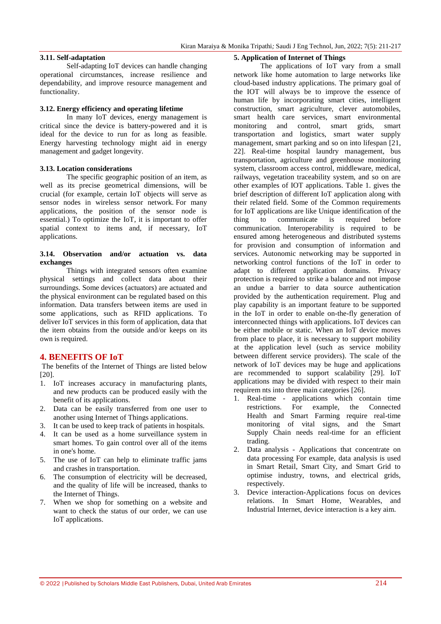### **3.11. Self-adaptation**

Self-adapting IoT devices can handle changing operational circumstances, increase resilience and dependability, and improve resource management and functionality.

#### **3.12. Energy efficiency and operating lifetime**

In many IoT devices, energy management is critical since the device is battery-powered and it is ideal for the device to run for as long as feasible. Energy harvesting technology might aid in energy management and gadget longevity.

### **3.13. Location considerations**

The specific geographic position of an item, as well as its precise geometrical dimensions, will be crucial (for example, certain IoT objects will serve as sensor nodes in wireless sensor network. For many applications, the position of the sensor node is essential.) To optimize the IoT, it is important to offer spatial context to items and, if necessary, IoT applications.

### **3.14. Observation and/or actuation vs. data exchanges**

Things with integrated sensors often examine physical settings and collect data about their surroundings. Some devices (actuators) are actuated and the physical environment can be regulated based on this information. Data transfers between items are used in some applications, such as RFID applications. To deliver IoT services in this form of application, data that the item obtains from the outside and/or keeps on its own is required.

### **4. BENEFITS OF IoT**

The benefits of the Internet of Things are listed below [20].

- 1. IoT increases accuracy in manufacturing plants, and new products can be produced easily with the benefit of its applications.
- 2. Data can be easily transferred from one user to another using Internet of Things applications.
- 3. It can be used to keep track of patients in hospitals.
- 4. It can be used as a home surveillance system in smart homes. To gain control over all of the items in one's home.
- 5. The use of IoT can help to eliminate traffic jams and crashes in transportation.
- 6. The consumption of electricity will be decreased, and the quality of life will be increased, thanks to the Internet of Things.
- 7. When we shop for something on a website and want to check the status of our order, we can use IoT applications.

#### **5. Application of Internet of Things**

The applications of IoT vary from a small network like home automation to large networks like cloud-based industry applications. The primary goal of the IOT will always be to improve the essence of human life by incorporating smart cities, intelligent construction, smart agriculture, clever automobiles, smart health care services, smart environmental monitoring and control, smart grids, smart transportation and logistics, smart water supply management, smart parking and so on into lifespan [21, 22]. Real-time hospital laundry management, bus transportation, agriculture and greenhouse monitoring system, classroom access control, middleware, medical, railways, vegetation traceability system, and so on are other examples of IOT applications. Table 1. gives the brief description of different IoT application along with their related field. Some of the Common requirements for IoT applications are like Unique identification of the thing to communicate is required before communication. Interoperability is required to be ensured among heterogeneous and distributed systems for provision and consumption of information and services. Autonomic networking may be supported in networking control functions of the IoT in order to adapt to different application domains. Privacy protection is required to strike a balance and not impose an undue a barrier to data source authentication provided by the authentication requirement. Plug and play capability is an important feature to be supported in the IoT in order to enable on-the-fly generation of interconnected things with applications. IoT devices can be either mobile or static. When an IoT device moves from place to place, it is necessary to support mobility at the application level (such as service mobility between different service providers). The scale of the network of IoT devices may be huge and applications are recommended to support scalability [29]. IoT applications may be divided with respect to their main requirem nts into three main categories [26].

- 1. Real-time applications which contain time<br>restrictions. For example, the Connected For example, the Connected Health and Smart Farming require real-time monitoring of vital signs, and the Smart Supply Chain needs real-time for an efficient trading.
- 2. Data analysis Applications that concentrate on data processing For example, data analysis is used in Smart Retail, Smart City, and Smart Grid to optimise industry, towns, and electrical grids, respectively.
- 3. Device interaction-Applications focus on devices relations. In Smart Home, Wearables, and Industrial Internet, device interaction is a key aim.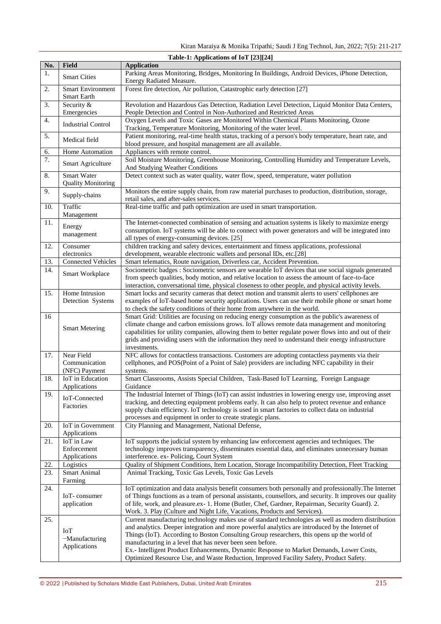| Table-1: Applications of IoT [23][24] |                                                 |                                                                                                                                                                                                                                                                                                                                                                                                                                                                                                                                                       |
|---------------------------------------|-------------------------------------------------|-------------------------------------------------------------------------------------------------------------------------------------------------------------------------------------------------------------------------------------------------------------------------------------------------------------------------------------------------------------------------------------------------------------------------------------------------------------------------------------------------------------------------------------------------------|
| No.                                   | Field                                           | <b>Application</b>                                                                                                                                                                                                                                                                                                                                                                                                                                                                                                                                    |
| 1.                                    | <b>Smart Cities</b>                             | Parking Areas Monitoring, Bridges, Monitoring In Buildings, Android Devices, iPhone Detection,<br>Energy Radiated Measure.                                                                                                                                                                                                                                                                                                                                                                                                                            |
| 2.                                    | <b>Smart Environment</b><br>Smart Earth         | Forest fire detection, Air pollution, Catastrophic early detection [27]                                                                                                                                                                                                                                                                                                                                                                                                                                                                               |
| 3.                                    | Security &<br>Emergencies                       | Revolution and Hazardous Gas Detection, Radiation Level Detection, Liquid Monitor Data Centers,<br>People Detection and Control in Non-Authorized and Restricted Areas                                                                                                                                                                                                                                                                                                                                                                                |
| 4.                                    | <b>Industrial Control</b>                       | Oxygen Levels and Toxic Gases are Monitored Within Chemical Plants Monitoring, Ozone<br>Tracking, Temperature Monitoring, Monitoring of the water level.                                                                                                                                                                                                                                                                                                                                                                                              |
| 5.                                    | Medical field                                   | Patient monitoring, real-time health status, tracking of a person's body temperature, heart rate, and<br>blood pressure, and hospital management are all available.                                                                                                                                                                                                                                                                                                                                                                                   |
| 6.                                    | Home Automation                                 | Appliances with remote control.                                                                                                                                                                                                                                                                                                                                                                                                                                                                                                                       |
| 7.                                    | Smart Agriculture                               | Soil Moisture Monitoring, Greenhouse Monitoring, Controlling Humidity and Temperature Levels,<br>And Studying Weather Conditions                                                                                                                                                                                                                                                                                                                                                                                                                      |
| 8.                                    | <b>Smart Water</b><br><b>Quality Monitoring</b> | Detect context such as water quality, water flow, speed, temperature, water pollution                                                                                                                                                                                                                                                                                                                                                                                                                                                                 |
| 9.                                    | Supply-chains                                   | Monitors the entire supply chain, from raw material purchases to production, distribution, storage,<br>retail sales, and after-sales services.                                                                                                                                                                                                                                                                                                                                                                                                        |
| 10.                                   | Traffic<br>Management                           | Real-time traffic and path optimization are used in smart transportation.                                                                                                                                                                                                                                                                                                                                                                                                                                                                             |
| 11.                                   | Energy<br>management                            | The Internet-connected combination of sensing and actuation systems is likely to maximize energy<br>consumption. IoT systems will be able to connect with power generators and will be integrated into<br>all types of energy-consuming devices. [25]                                                                                                                                                                                                                                                                                                 |
| 12.                                   | Consumer<br>electronics                         | children tracking and safety devices, entertainment and fitness applications, professional<br>development, wearable electronic wallets and personal IDs, etc.[28]                                                                                                                                                                                                                                                                                                                                                                                     |
| 13.                                   | <b>Connected Vehicles</b>                       | Smart telematics, Route navigation, Driverless car, Accident Prevention.                                                                                                                                                                                                                                                                                                                                                                                                                                                                              |
| 14.                                   | Smart Workplace                                 | Sociometric badges : Sociometric sensors are wearable IoT devices that use social signals generated<br>from speech qualities, body motion, and relative location to assess the amount of face-to-face<br>interaction, conversational time, physical closeness to other people, and physical activity levels.                                                                                                                                                                                                                                          |
| 15.                                   | Home Intrusion<br>Detection Systems             | Smart locks and security cameras that detect motion and transmit alerts to users' cellphones are<br>examples of IoT-based home security applications. Users can use their mobile phone or smart home<br>to check the safety conditions of their home from anywhere in the world.                                                                                                                                                                                                                                                                      |
| 16                                    | <b>Smart Metering</b>                           | Smart Grid: Utilities are focusing on reducing energy consumption as the public's awareness of<br>climate change and carbon emissions grows. IoT allows remote data management and monitoring<br>capabilities for utility companies, allowing them to better regulate power flows into and out of their<br>grids and providing users with the information they need to understand their energy infrastructure<br>investments.                                                                                                                         |
| 17.                                   | Near Field<br>Communication<br>(NFC) Payment    | NFC allows for contactless transactions. Customers are adopting contactless payments via their<br>cellphones, and POS(Point of a Point of Sale) providers are including NFC capability in their<br>systems.                                                                                                                                                                                                                                                                                                                                           |
| 18.                                   | IoT in Education<br>Applications                | Smart Classrooms, Assists Special Children, Task-Based IoT Learning, Foreign Language<br>Guidance                                                                                                                                                                                                                                                                                                                                                                                                                                                     |
| 19.                                   | IoT-Connected<br>Factories                      | The Industrial Internet of Things (IoT) can assist industries in lowering energy use, improving asset<br>tracking, and detecting equipment problems early. It can also help to protect revenue and enhance<br>supply chain efficiency. IoT technology is used in smart factories to collect data on industrial<br>processes and equipment in order to create strategic plans.                                                                                                                                                                         |
| 20.                                   | IoT in Government<br>Applications               | City Planning and Management, National Defense,                                                                                                                                                                                                                                                                                                                                                                                                                                                                                                       |
| 21.                                   | IoT in Law<br>Enforcement<br>Applications       | IoT supports the judicial system by enhancing law enforcement agencies and techniques. The<br>technology improves transparency, disseminates essential data, and eliminates unnecessary human<br>interference. ex- Policing, Court System                                                                                                                                                                                                                                                                                                             |
| 22.                                   | Logistics                                       | Quality of Shipment Conditions, Item Location, Storage Incompatibility Detection, Fleet Tracking                                                                                                                                                                                                                                                                                                                                                                                                                                                      |
| 23.                                   | Smart Animal<br>Farming                         | Animal Tracking, Toxic Gas Levels, Toxic Gas Levels                                                                                                                                                                                                                                                                                                                                                                                                                                                                                                   |
| 24.                                   | IoT-consumer<br>application                     | IoT optimization and data analysis benefit consumers both personally and professionally. The Internet<br>of Things functions as a team of personal assistants, counsellors, and security. It improves our quality<br>of life, work, and pleasure.ex- 1. Home (Butler, Chef, Gardner, Repairman, Security Guard). 2.<br>Work. 3. Play (Culture and Night Life, Vacations, Products and Services).                                                                                                                                                      |
| 25.                                   | <b>IoT</b><br>-Manufacturing<br>Applications    | Current manufacturing technology makes use of standard technologies as well as modern distribution<br>and analytics. Deeper integration and more powerful analytics are introduced by the Internet of<br>Things (IoT). According to Boston Consulting Group researchers, this opens up the world of<br>manufacturing in a level that has never been seen before.<br>Ex.- Intelligent Product Enhancements, Dynamic Response to Market Demands, Lower Costs,<br>Optimized Resource Use, and Waste Reduction, Improved Facility Safety, Product Safety. |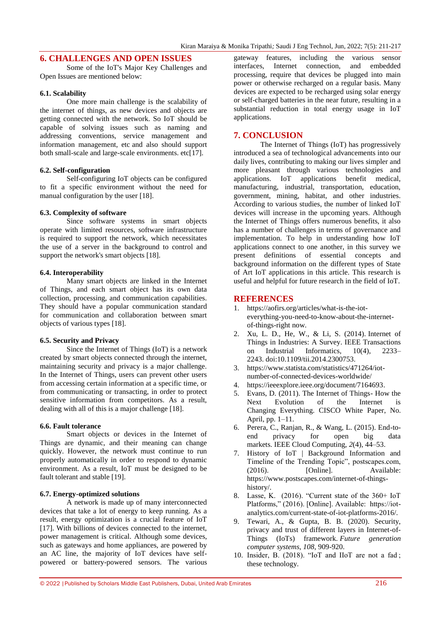# **6. CHALLENGES AND OPEN ISSUES**

Some of the IoT's Major Key Challenges and Open Issues are mentioned below:

### **6.1. Scalability**

One more main challenge is the scalability of the internet of things, as new devices and objects are getting connected with the network. So IoT should be capable of solving issues such as naming and addressing conventions, service management and information management, etc and also should support both small-scale and large-scale environments. etc[17].

### **6.2. Self-configuration**

Self-configuring IoT objects can be configured to fit a specific environment without the need for manual configuration by the user [18].

### **6.3. Complexity of software**

Since software systems in smart objects operate with limited resources, software infrastructure is required to support the network, which necessitates the use of a server in the background to control and support the network's smart objects [18].

### **6.4. Interoperability**

Many smart objects are linked in the Internet of Things, and each smart object has its own data collection, processing, and communication capabilities. They should have a popular communication standard for communication and collaboration between smart objects of various types [18].

### **6.5. Security and Privacy**

Since the Internet of Things (IoT) is a network created by smart objects connected through the internet, maintaining security and privacy is a major challenge. In the Internet of Things, users can prevent other users from accessing certain information at a specific time, or from communicating or transacting, in order to protect sensitive information from competitors. As a result, dealing with all of this is a major challenge [18].

#### **6.6. Fault tolerance**

Smart objects or devices in the Internet of Things are dynamic, and their meaning can change quickly. However, the network must continue to run properly automatically in order to respond to dynamic environment. As a result, IoT must be designed to be fault tolerant and stable [19].

### **6.7. Energy-optimized solutions**

A network is made up of many interconnected devices that take a lot of energy to keep running. As a result, energy optimization is a crucial feature of IoT [17]. With billions of devices connected to the internet, power management is critical. Although some devices, such as gateways and home appliances, are powered by an AC line, the majority of IoT devices have selfpowered or battery-powered sensors. The various gateway features, including the various sensor interfaces, Internet connection, and embedded processing, require that devices be plugged into main power or otherwise recharged on a regular basis. Many devices are expected to be recharged using solar energy or self-charged batteries in the near future, resulting in a substantial reduction in total energy usage in IoT applications.

### **7. CONCLUSION**

The Internet of Things (IoT) has progressively introduced a sea of technological advancements into our daily lives, contributing to making our lives simpler and more pleasant through various technologies and applications. IoT applications benefit medical, manufacturing, industrial, transportation, education, government, mining, habitat, and other industries. According to various studies, the number of linked IoT devices will increase in the upcoming years. Although the Internet of Things offers numerous benefits, it also has a number of challenges in terms of governance and implementation. To help in understanding how IoT applications connect to one another, in this survey we present definitions of essential concepts and background information on the different types of State of Art IoT applications in this article. This research is useful and helpful for future research in the field of IoT.

### **REFERENCES**

- 1. [https://aofirs.org/articles/what-is-the-iot](https://aofirs.org/articles/what-is-the-iot-everything-you-need-to-know-about-the-internet-of-things-right%20now)[everything-you-need-to-know-about-the-internet](https://aofirs.org/articles/what-is-the-iot-everything-you-need-to-know-about-the-internet-of-things-right%20now)[of-things-right now.](https://aofirs.org/articles/what-is-the-iot-everything-you-need-to-know-about-the-internet-of-things-right%20now)
- 2. Xu, L. D., He, W., & Li, S. (2014). Internet of Things in Industries: A Survey. IEEE Transactions on Industrial Informatics, 10(4), 2233– 2243. doi:10.1109/tii.2014.2300753.
- 3. [https://www.statista.com/statistics/471264/iot](https://www.statista.com/statistics/471264/iot-number-of-connected-devices-worldwide/)[number-of-connected-devices-worldwide/](https://www.statista.com/statistics/471264/iot-number-of-connected-devices-worldwide/)
- 4. [https://ieeexplore.ieee.org/document/7164693.](https://ieeexplore.ieee.org/document/7164693)
- 5. Evans, D. (2011). The Internet of Things- How the Next Evolution of the Internet is Changing Everything. CISCO White Paper, No. April, pp. 1–11.
- 6. Perera, C., Ranjan, R., & Wang, L. (2015). End-toend privacy for open big data markets. IEEE Cloud Computing, *2*(4), 44–53.
- 7. History of IoT | Background Information and Timeline of the Trending Topic", postscapes.com, (2016). [Online]. Available: https://www.postscapes.com/internet-of-thingshistory/.
- 8. Lasse, K.  $(2016)$ . "Current state of the 360+ IoT Platforms," (2016). [Online]. Available: https://iotanalytics.com/current-state-of-iot-platforms-2016/.
- 9. Tewari, A., & Gupta, B. B. (2020). Security, privacy and trust of different layers in Internet-of-Things (IoTs) framework. *Future generation computer systems*, *108*, 909-920.
- 10. Insider, B. (2018). "IoT and IIoT are not a fad; these technology.